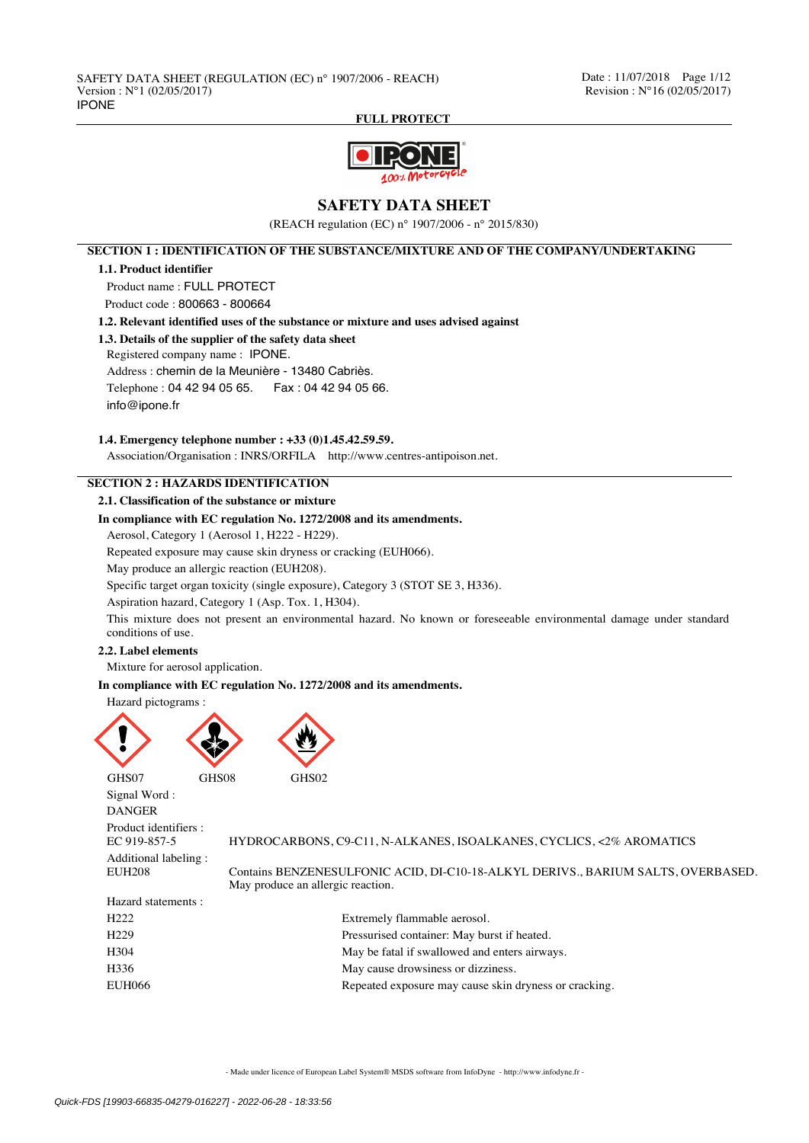

# **SAFETY DATA SHEET**

(REACH regulation (EC) n° 1907/2006 - n° 2015/830)

**SECTION 1 : IDENTIFICATION OF THE SUBSTANCE/MIXTURE AND OF THE COMPANY/UNDERTAKING**

### **1.1. Product identifier**

Product name : FULL PROTECT

Product code : 800663 - 800664

**1.2. Relevant identified uses of the substance or mixture and uses advised against**

### **1.3. Details of the supplier of the safety data sheet**

Registered company name : IPONE.

Address : chemin de la Meunière - 13480 Cabriès.

Telephone : 04 42 94 05 65. Fax : 04 42 94 05 66.

info@ipone.fr

### **1.4. Emergency telephone number : +33 (0)1.45.42.59.59.**

Association/Organisation : INRS/ORFILA http://www.centres-antipoison.net.

# **SECTION 2 : HAZARDS IDENTIFICATION**

**2.1. Classification of the substance or mixture**

## **In compliance with EC regulation No. 1272/2008 and its amendments.**

Aerosol, Category 1 (Aerosol 1, H222 - H229).

Repeated exposure may cause skin dryness or cracking (EUH066).

May produce an allergic reaction (EUH208).

Specific target organ toxicity (single exposure), Category 3 (STOT SE 3, H336).

Aspiration hazard, Category 1 (Asp. Tox. 1, H304).

This mixture does not present an environmental hazard. No known or foreseeable environmental damage under standard conditions of use.

### **2.2. Label elements**

Mixture for aerosol application.

**In compliance with EC regulation No. 1272/2008 and its amendments.**

Hazard pictograms :



Signal Word : DANGER

Product identifiers :<br>EC 919-857-5 Additional labeling :<br>EUH208

Hazard statements :

EC 919-857-5 HYDROCARBONS, C9-C11, N-ALKANES, ISOALKANES, CYCLICS, <2% AROMATICS

Contains BENZENESULFONIC ACID, DI-C10-18-ALKYL DERIVS., BARIUM SALTS, OVERBASED. May produce an allergic reaction.

| Extremely flammable aerosol.                          |
|-------------------------------------------------------|
| Pressurised container: May burst if heated.           |
| May be fatal if swallowed and enters airways.         |
| May cause drowsiness or dizziness.                    |
| Repeated exposure may cause skin dryness or cracking. |
|                                                       |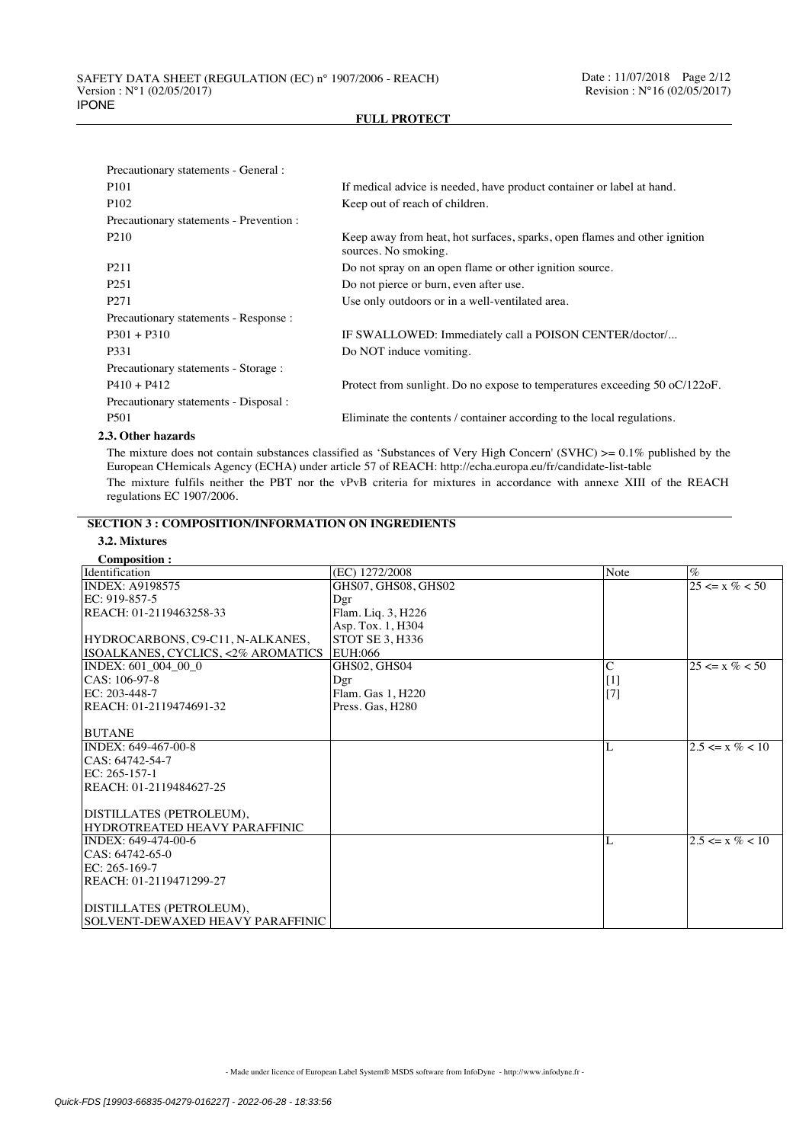| Precautionary statements - General :                                            |                                                                                                   |
|---------------------------------------------------------------------------------|---------------------------------------------------------------------------------------------------|
| P <sub>101</sub>                                                                | If medical advice is needed, have product container or label at hand.                             |
| P <sub>102</sub>                                                                | Keep out of reach of children.                                                                    |
| Precautionary statements - Prevention :                                         |                                                                                                   |
| P <sub>210</sub>                                                                | Keep away from heat, hot surfaces, sparks, open flames and other ignition<br>sources. No smoking. |
| P <sub>211</sub>                                                                | Do not spray on an open flame or other ignition source.                                           |
| P <sub>251</sub>                                                                | Do not pierce or burn, even after use.                                                            |
| P <sub>271</sub>                                                                | Use only outdoors or in a well-ventilated area.                                                   |
| Precautionary statements - Response :                                           |                                                                                                   |
| $P301 + P310$                                                                   | IF SWALLOWED: Immediately call a POISON CENTER/doctor/                                            |
| P331                                                                            | Do NOT induce vomiting.                                                                           |
| Precautionary statements - Storage :                                            |                                                                                                   |
| $P410 + P412$                                                                   | Protect from sunlight. Do no expose to temperatures exceeding $50$ oC $/122$ oF.                  |
| Precautionary statements - Disposal :                                           |                                                                                                   |
| P <sub>501</sub>                                                                | Eliminate the contents / container according to the local regulations.                            |
| $\bullet$ $\bullet$ $\bullet$ $\bullet$ $\bullet$ $\bullet$ $\bullet$ $\bullet$ |                                                                                                   |

### **2.3. Other hazards**

The mixture does not contain substances classified as 'Substances of Very High Concern' (SVHC) >= 0.1% published by the European CHemicals Agency (ECHA) under article 57 of REACH: http://echa.europa.eu/fr/candidate-list-table The mixture fulfils neither the PBT nor the vPvB criteria for mixtures in accordance with annexe XIII of the REACH regulations EC 1907/2006.

# **SECTION 3 : COMPOSITION/INFORMATION ON INGREDIENTS**

| Composition:<br>Identification                            | (EC) 1272/2008         | Note           | $\%$                      |
|-----------------------------------------------------------|------------------------|----------------|---------------------------|
| <b>INDEX: A9198575</b>                                    | GHS07, GHS08, GHS02    |                | $\sqrt{25} \le x \% < 50$ |
| EC: 919-857-5                                             | Dgr                    |                |                           |
| REACH: 01-2119463258-33                                   | Flam. Liq. 3, H226     |                |                           |
|                                                           | Asp. Tox. 1, H304      |                |                           |
| HYDROCARBONS, C9-C11, N-ALKANES,                          | <b>STOT SE 3. H336</b> |                |                           |
| ISOALKANES, CYCLICS, <2% AROMATICS                        | <b>EUH:066</b>         |                |                           |
| INDEX: 601 004 00 0                                       | GHS02, GHS04           | $\overline{C}$ | $25 \le x \% \le 50$      |
| CAS: 106-97-8                                             | Dgr                    | $[1]$          |                           |
| $EC: 203-448-7$                                           | Flam. Gas 1, H220      | $[7]$          |                           |
| REACH: 01-2119474691-32                                   | Press. Gas. H280       |                |                           |
|                                                           |                        |                |                           |
| <b>BUTANE</b>                                             |                        |                |                           |
| INDEX: 649-467-00-8                                       |                        | L              | $2.5 \le x \% < 10$       |
| CAS: 64742-54-7                                           |                        |                |                           |
| $EC: 265-157-1$                                           |                        |                |                           |
| REACH: 01-2119484627-25                                   |                        |                |                           |
|                                                           |                        |                |                           |
| DISTILLATES (PETROLEUM),<br>HYDROTREATED HEAVY PARAFFINIC |                        |                |                           |
| INDEX: 649-474-00-6                                       |                        | L              | $2.5 \le x \% < 10$       |
| CAS: 64742-65-0                                           |                        |                |                           |
| EC: 265-169-7                                             |                        |                |                           |
| REACH: 01-2119471299-27                                   |                        |                |                           |
|                                                           |                        |                |                           |
| DISTILLATES (PETROLEUM),                                  |                        |                |                           |
| SOLVENT-DEWAXED HEAVY PARAFFINIC                          |                        |                |                           |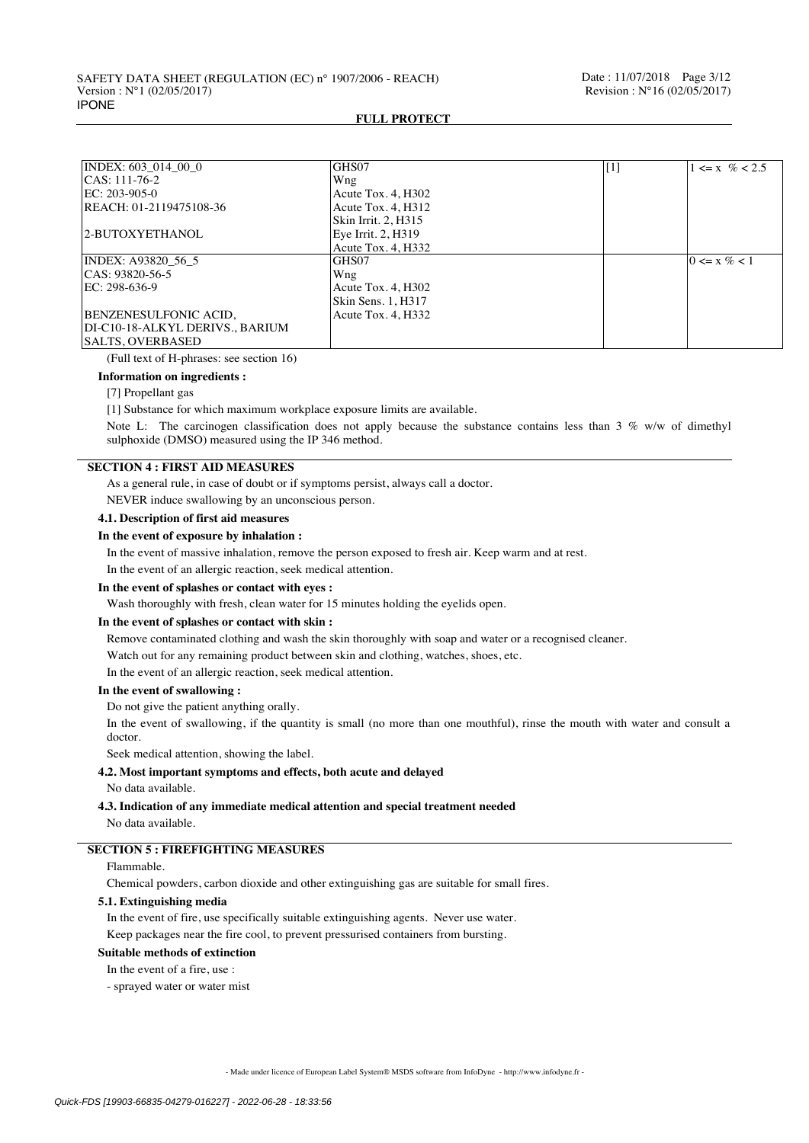| INDEX: 603 014 00 0             | GHS07               | $[1]$ | $1 \le x \% < 2.5$ |
|---------------------------------|---------------------|-------|--------------------|
| CAS: 111-76-2                   | Wng                 |       |                    |
| $EC: 203-905-0$                 | Acute Tox. 4, H302  |       |                    |
| REACH: 01-2119475108-36         | Acute Tox. 4. H312  |       |                    |
|                                 | Skin Irrit. 2. H315 |       |                    |
| 2-BUTOXYETHANOL                 | Eye Irrit. 2, H319  |       |                    |
|                                 | Acute Tox. 4, H332  |       |                    |
| INDEX: A93820 56 5              | GHS07               |       | $0 \le x \% < 1$   |
| CAS: 93820-56-5                 | Wng                 |       |                    |
| EC: 298-636-9                   | Acute Tox. 4, H302  |       |                    |
|                                 | Skin Sens. 1, H317  |       |                    |
| BENZENESULFONIC ACID,           | Acute Tox. 4. H332  |       |                    |
| DI-C10-18-ALKYL DERIVS., BARIUM |                     |       |                    |
| <b>SALTS. OVERBASED</b>         |                     |       |                    |

(Full text of H-phrases: see section 16)

#### **Information on ingredients :**

#### [7] Propellant gas

[1] Substance for which maximum workplace exposure limits are available.

Note L: The carcinogen classification does not apply because the substance contains less than 3 % w/w of dimethyl sulphoxide (DMSO) measured using the IP 346 method.

## **SECTION 4 : FIRST AID MEASURES**

As a general rule, in case of doubt or if symptoms persist, always call a doctor.

NEVER induce swallowing by an unconscious person.

## **4.1. Description of first aid measures**

### **In the event of exposure by inhalation :**

In the event of massive inhalation, remove the person exposed to fresh air. Keep warm and at rest.

In the event of an allergic reaction, seek medical attention.

#### **In the event of splashes or contact with eyes :**

Wash thoroughly with fresh, clean water for 15 minutes holding the eyelids open.

### **In the event of splashes or contact with skin :**

Remove contaminated clothing and wash the skin thoroughly with soap and water or a recognised cleaner.

Watch out for any remaining product between skin and clothing, watches, shoes, etc.

In the event of an allergic reaction, seek medical attention.

#### **In the event of swallowing :**

Do not give the patient anything orally.

In the event of swallowing, if the quantity is small (no more than one mouthful), rinse the mouth with water and consult a doctor.

Seek medical attention, showing the label.

#### **4.2. Most important symptoms and effects, both acute and delayed**

No data available.

### **4.3. Indication of any immediate medical attention and special treatment needed**

No data available.

## **SECTION 5 : FIREFIGHTING MEASURES**

## Flammable.

Chemical powders, carbon dioxide and other extinguishing gas are suitable for small fires.

## **5.1. Extinguishing media**

In the event of fire, use specifically suitable extinguishing agents. Never use water.

Keep packages near the fire cool, to prevent pressurised containers from bursting.

#### **Suitable methods of extinction**

In the event of a fire, use :

- sprayed water or water mist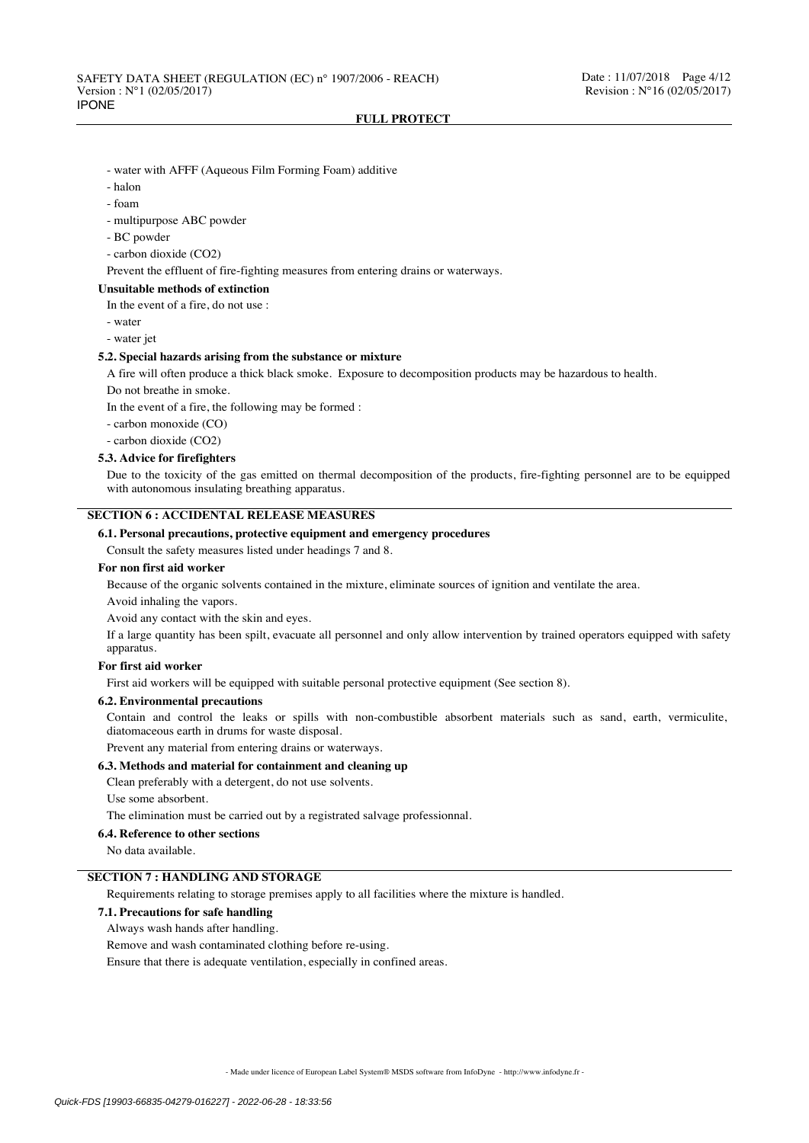- water with AFFF (Aqueous Film Forming Foam) additive
- halon
- foam
- multipurpose ABC powder
- BC powder
- carbon dioxide (CO2)

Prevent the effluent of fire-fighting measures from entering drains or waterways.

#### **Unsuitable methods of extinction**

In the event of a fire, do not use :

- water

- water jet

#### **5.2. Special hazards arising from the substance or mixture**

A fire will often produce a thick black smoke. Exposure to decomposition products may be hazardous to health.

Do not breathe in smoke.

In the event of a fire, the following may be formed :

- carbon monoxide (CO)

- carbon dioxide (CO2)

## **5.3. Advice for firefighters**

Due to the toxicity of the gas emitted on thermal decomposition of the products, fire-fighting personnel are to be equipped with autonomous insulating breathing apparatus.

## **SECTION 6 : ACCIDENTAL RELEASE MEASURES**

### **6.1. Personal precautions, protective equipment and emergency procedures**

Consult the safety measures listed under headings 7 and 8.

#### **For non first aid worker**

Because of the organic solvents contained in the mixture, eliminate sources of ignition and ventilate the area.

# Avoid inhaling the vapors.

Avoid any contact with the skin and eyes.

If a large quantity has been spilt, evacuate all personnel and only allow intervention by trained operators equipped with safety apparatus.

### **For first aid worker**

First aid workers will be equipped with suitable personal protective equipment (See section 8).

## **6.2. Environmental precautions**

Contain and control the leaks or spills with non-combustible absorbent materials such as sand, earth, vermiculite, diatomaceous earth in drums for waste disposal.

Prevent any material from entering drains or waterways.

## **6.3. Methods and material for containment and cleaning up**

Clean preferably with a detergent, do not use solvents.

Use some absorbent.

The elimination must be carried out by a registrated salvage professionnal.

#### **6.4. Reference to other sections**

No data available.

#### **SECTION 7 : HANDLING AND STORAGE**

Requirements relating to storage premises apply to all facilities where the mixture is handled.

### **7.1. Precautions for safe handling**

Always wash hands after handling.

Remove and wash contaminated clothing before re-using.

Ensure that there is adequate ventilation, especially in confined areas.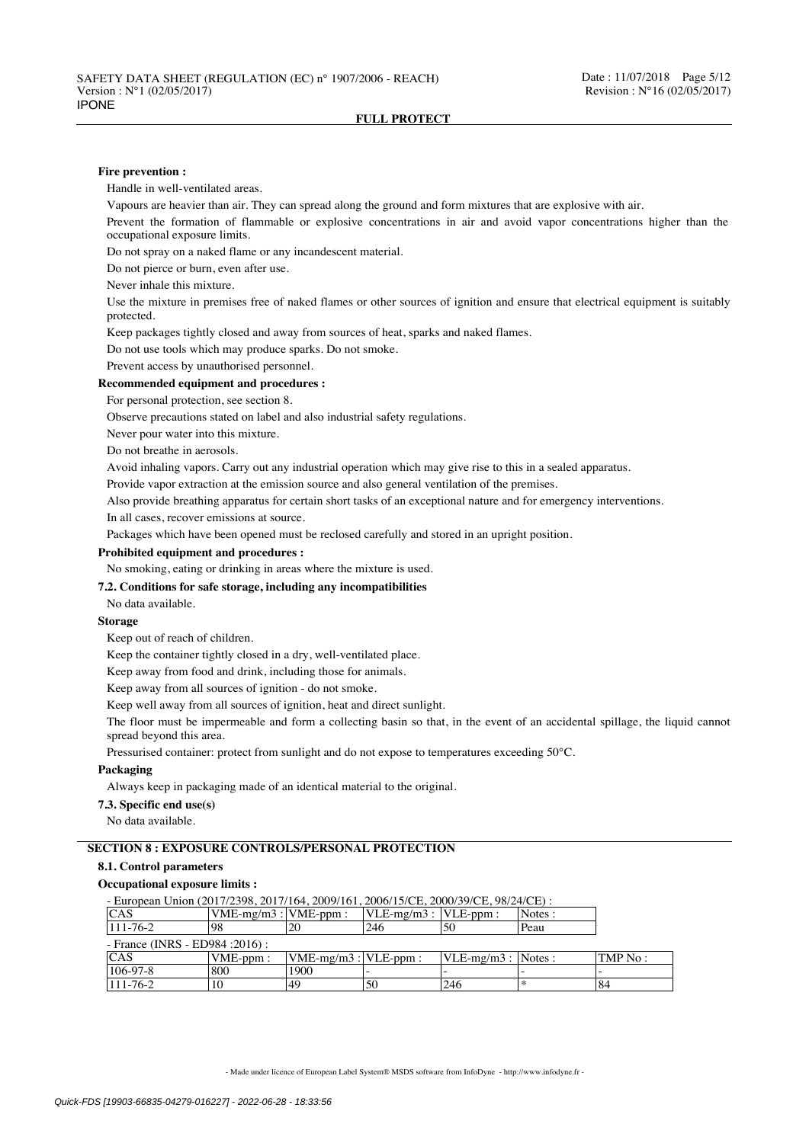#### **Fire prevention :**

Handle in well-ventilated areas.

Vapours are heavier than air. They can spread along the ground and form mixtures that are explosive with air.

Prevent the formation of flammable or explosive concentrations in air and avoid vapor concentrations higher than the occupational exposure limits.

Do not spray on a naked flame or any incandescent material.

Do not pierce or burn, even after use.

Never inhale this mixture.

Use the mixture in premises free of naked flames or other sources of ignition and ensure that electrical equipment is suitably protected.

Keep packages tightly closed and away from sources of heat, sparks and naked flames.

Do not use tools which may produce sparks. Do not smoke.

Prevent access by unauthorised personnel.

### **Recommended equipment and procedures :**

For personal protection, see section 8.

Observe precautions stated on label and also industrial safety regulations.

Never pour water into this mixture.

Do not breathe in aerosols.

Avoid inhaling vapors. Carry out any industrial operation which may give rise to this in a sealed apparatus.

Provide vapor extraction at the emission source and also general ventilation of the premises.

Also provide breathing apparatus for certain short tasks of an exceptional nature and for emergency interventions.

In all cases, recover emissions at source.

Packages which have been opened must be reclosed carefully and stored in an upright position.

#### **Prohibited equipment and procedures :**

No smoking, eating or drinking in areas where the mixture is used.

### **7.2. Conditions for safe storage, including any incompatibilities**

No data available.

### **Storage**

Keep out of reach of children.

Keep the container tightly closed in a dry, well-ventilated place.

Keep away from food and drink, including those for animals.

Keep away from all sources of ignition - do not smoke.

Keep well away from all sources of ignition, heat and direct sunlight.

The floor must be impermeable and form a collecting basin so that, in the event of an accidental spillage, the liquid cannot spread beyond this area.

Pressurised container: protect from sunlight and do not expose to temperatures exceeding 50°C.

### **Packaging**

Always keep in packaging made of an identical material to the original.

**7.3. Specific end use(s)**

No data available.

## **SECTION 8 : EXPOSURE CONTROLS/PERSONAL PROTECTION**

## **8.1. Control parameters**

## **Occupational exposure limits :**

- European Union (2017/2398, 2017/164, 2009/161, 2006/15/CE, 2000/39/CE, 98/24/CE)<br>
CAS [VME-mg/m3 : |VME-ppm : |VLE-mg/m3 : |VLE-ppm : |Notes  $\begin{array}{|l|c|c|c|c|c|}\n\hline \textrm{CAS} & \textrm{VME-mg/m3 : } \textrm{VME-ppm :} & \textrm{VLE-mg/m3 : } \textrm{VLE-ppm :} & \textrm{Notes}\n\hline\n111-76-2 & 98 & 20 & 246 & 50 & \textrm{Peau} \end{array}$ 111-76-2 98 20 246 50 Peau - France (INRS - ED984 :2016) : CAS VME-ppm : VME-mg/m3 : VLE-ppm : VLE-mg/m3 : Notes : TMP No : 106-97-8 800 1900 -106-97-8 800 1900 - - - -  $111-76-2$  |10 |49 |50 |246 |\* |84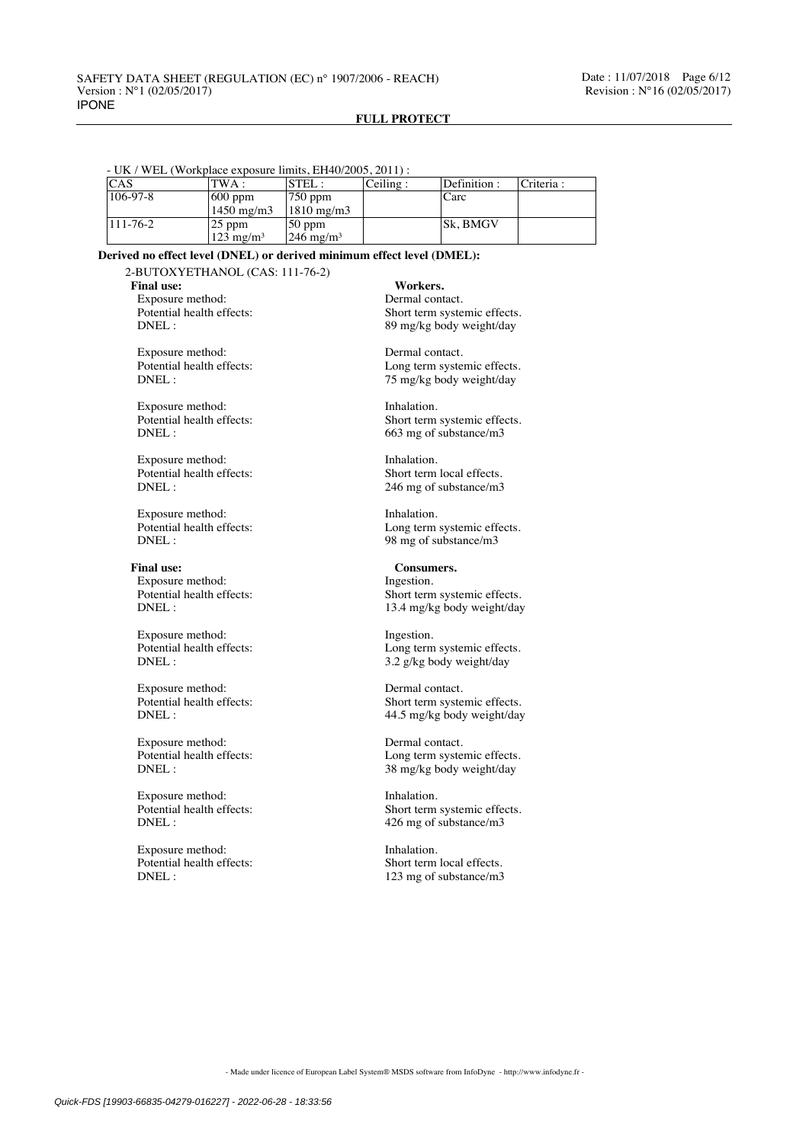## - UK / WEL (Workplace exposure limits, EH40/2005, 2011) :

| <b>CAS</b>     | TWA :                | $\left  \text{STEL} \right.$ | Ceiling: | Definition : | Criteria : |
|----------------|----------------------|------------------------------|----------|--------------|------------|
| $106 - 97 - 8$ | $ 600$ ppm           | 750 ppm                      |          | Carc         |            |
|                | $1450 \text{ mg/m}$  | $1810 \text{ mg/m}$          |          |              |            |
| $111 - 76 - 2$ | $ 25$ ppm            | 50 ppm                       |          | Sk. BMGV     |            |
|                | $123 \text{ mg/m}^3$ | $246 \text{ mg/m}^3$         |          |              |            |

#### **Derived no effect level (DNEL) or derived minimum effect level (DMEL):**

2-BUTOXYETHANOL (CAS: 111-76-2)

Final use: Workers.

Exposure method: Dermal contact.<br>
Potential health effects: Short term syste

Exposure method: Dermal contact.<br>
Potential health effects: Long term system

Exposure method: Inhalation.<br>
Potential health effects: Short term<br>
Short term

Potential health effects:<br>DNEL:

Exposure method: Inhalation.<br>
Potential health effects: I cong term

Final use: Consumers. Exposure method: Ingestion.<br>
Potential health effects: Short term

Exposure method: Ingestion.<br>
Potential health effects: Long term

Exposure method: Dermal contact.<br>
Potential health effects: Short term syste

Exposure method: Dermal contact.<br>
Potential health effects: Long term system

Exposure method: Inhalation.<br>
Potential health effects: Short term<br>
Short term

Potential health effects:<br>DNEL:

Potential health effects:<br>
DNEL:<br>  $89 \text{ m/s/s}$  body weight/day 89 mg/kg body weight/day

Potential health effects:<br>
DNEL:<br>  $75 \text{ m/s/s}$  body weight/day 75 mg/kg body weight/day

Potential health effects:<br>
DNEL:<br>  $663 \text{ mg of substance/m3}$ 663 mg of substance/m3

Exposure method: Inhalation.<br>
Potential health effects: Short term local effects. 246 mg of substance/m3

Potential health effects:<br>
DNEL:<br>
98 mg of substance/m3 98 mg of substance/m3

Potential health effects:<br>
DNEL:<br>  $13.4 \text{ m}$ e/kg body weight/day 13.4 mg/kg body weight/day

Potential health effects:<br>
DNEL:<br>  $3.2 \frac{g}{kg}$  body weight/day 3.2 g/kg body weight/day

Short term systemic effects. DNEL :  $44.5 \text{ mg/kg body weight/day}$ 

Potential health effects:<br>
DNFI: Long term systemic effects.<br>  $\frac{1}{38} \frac{8 \text{ m/s}}{100}$  Next shock weight/day 38 mg/kg body weight/day

Potential health effects:<br>
Short term systemic effects.<br>
DNEL:<br>  $426 \text{ mg of substance/m}$ 426 mg of substance/m3

Exposure method: Inhalation.<br>
Potential health effects: Short term local effects. 123 mg of substance/m3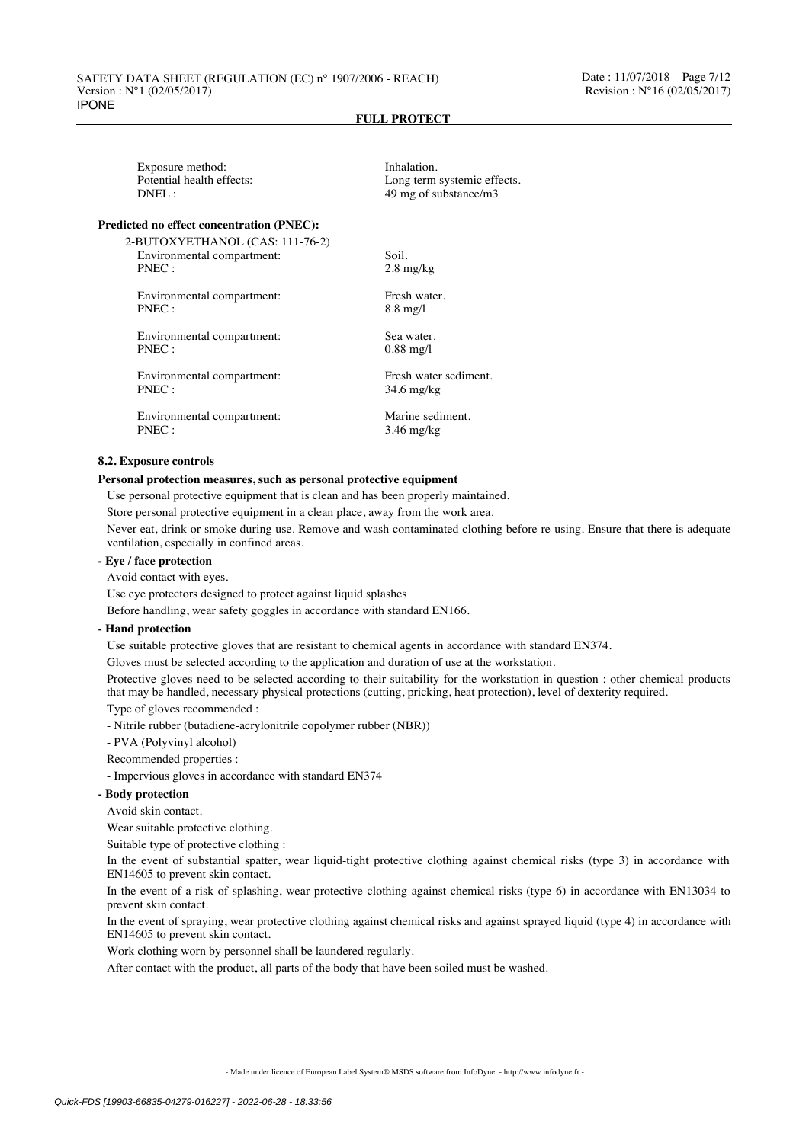| Exposure method:          |
|---------------------------|
| Potential health effects: |
| $DNEL$ :                  |
|                           |

#### **Predicted no effect concentration (PNEC):**

2-BUTOXYETHANOL (CAS: 111-76-2) Environmental compartment: Soil. PNEC : 2.8 mg/kg

Environmental compartment: Fresh water.<br>PNEC: 8.8 mg/l

Environmental compartment: Sea water. PNEC : 0.88 mg/l

Environmental compartment: Fresh water sediment.<br>PNEC : 34.6 mg/kg

Environmental compartment: Marine sediment.<br>
PNEC: 3.46 mg/kg

Inhalation. Long term systemic effects. 49 mg of substance/m3

 $8.8$  mg/l

34.6 mg/kg

 $3.46$  mg/kg

#### **8.2. Exposure controls**

#### **Personal protection measures, such as personal protective equipment**

Use personal protective equipment that is clean and has been properly maintained.

Store personal protective equipment in a clean place, away from the work area.

Never eat, drink or smoke during use. Remove and wash contaminated clothing before re-using. Ensure that there is adequate ventilation, especially in confined areas.

## **- Eye / face protection**

Avoid contact with eyes.

Use eye protectors designed to protect against liquid splashes

Before handling, wear safety goggles in accordance with standard EN166.

### **- Hand protection**

Use suitable protective gloves that are resistant to chemical agents in accordance with standard EN374.

Gloves must be selected according to the application and duration of use at the workstation.

Protective gloves need to be selected according to their suitability for the workstation in question : other chemical products that may be handled, necessary physical protections (cutting, pricking, heat protection), level of dexterity required.

Type of gloves recommended :

- Nitrile rubber (butadiene-acrylonitrile copolymer rubber (NBR))

- PVA (Polyvinyl alcohol)

Recommended properties :

- Impervious gloves in accordance with standard EN374

#### **- Body protection**

Avoid skin contact.

Wear suitable protective clothing.

Suitable type of protective clothing :

In the event of substantial spatter, wear liquid-tight protective clothing against chemical risks (type 3) in accordance with EN14605 to prevent skin contact.

In the event of a risk of splashing, wear protective clothing against chemical risks (type 6) in accordance with EN13034 to prevent skin contact.

In the event of spraying, wear protective clothing against chemical risks and against sprayed liquid (type 4) in accordance with EN14605 to prevent skin contact.

Work clothing worn by personnel shall be laundered regularly.

After contact with the product, all parts of the body that have been soiled must be washed.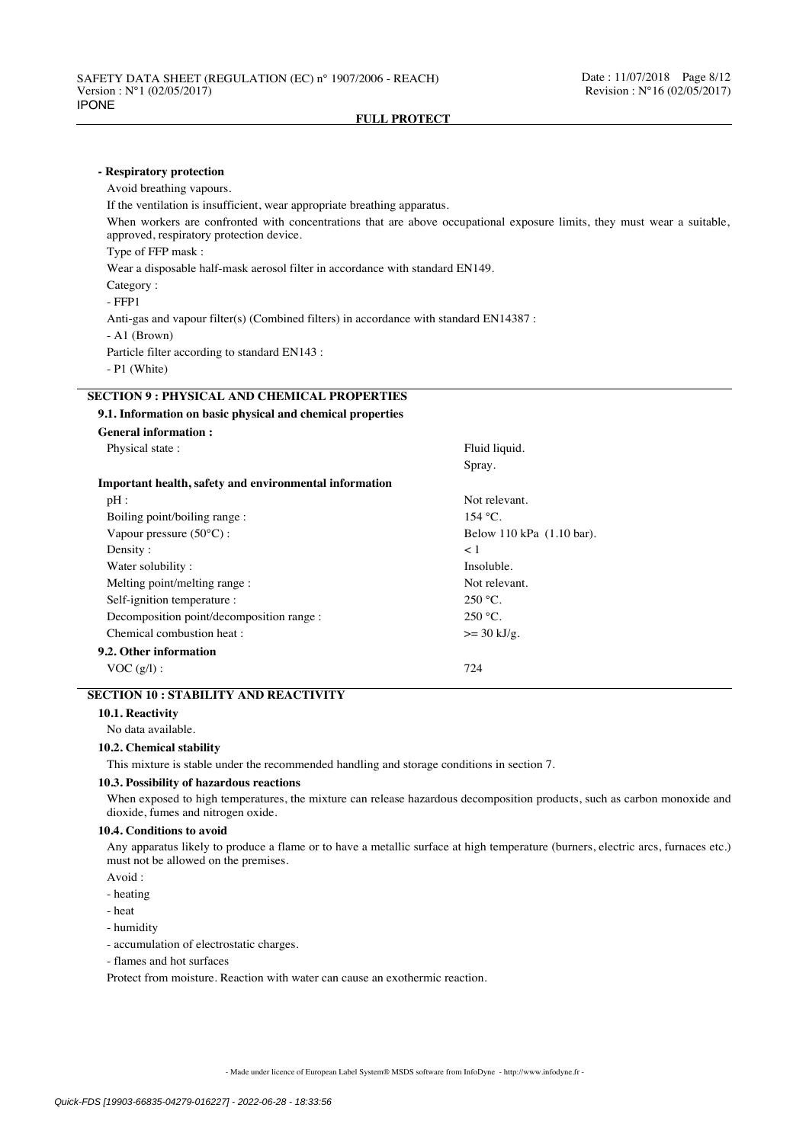| - Respiratory protection                                                                                                                                                                                                                                              |                           |  |  |  |  |  |                                                                               |  |
|-----------------------------------------------------------------------------------------------------------------------------------------------------------------------------------------------------------------------------------------------------------------------|---------------------------|--|--|--|--|--|-------------------------------------------------------------------------------|--|
| Avoid breathing vapours.                                                                                                                                                                                                                                              |                           |  |  |  |  |  |                                                                               |  |
| If the ventilation is insufficient, wear appropriate breathing apparatus.<br>When workers are confronted with concentrations that are above occupational exposure limits, they must wear a suitable,<br>approved, respiratory protection device.<br>Type of FFP mask: |                           |  |  |  |  |  |                                                                               |  |
|                                                                                                                                                                                                                                                                       |                           |  |  |  |  |  | Wear a disposable half-mask aerosol filter in accordance with standard EN149. |  |
|                                                                                                                                                                                                                                                                       |                           |  |  |  |  |  | Category:                                                                     |  |
| $-$ FFP1                                                                                                                                                                                                                                                              |                           |  |  |  |  |  |                                                                               |  |
| Anti-gas and vapour filter(s) (Combined filters) in accordance with standard EN14387 :                                                                                                                                                                                |                           |  |  |  |  |  |                                                                               |  |
| $-$ A1 (Brown)                                                                                                                                                                                                                                                        |                           |  |  |  |  |  |                                                                               |  |
| Particle filter according to standard EN143 :                                                                                                                                                                                                                         |                           |  |  |  |  |  |                                                                               |  |
| $- P1$ (White)                                                                                                                                                                                                                                                        |                           |  |  |  |  |  |                                                                               |  |
| <b>SECTION 9 : PHYSICAL AND CHEMICAL PROPERTIES</b>                                                                                                                                                                                                                   |                           |  |  |  |  |  |                                                                               |  |
| 9.1. Information on basic physical and chemical properties                                                                                                                                                                                                            |                           |  |  |  |  |  |                                                                               |  |
| <b>General information:</b>                                                                                                                                                                                                                                           |                           |  |  |  |  |  |                                                                               |  |
| Physical state:                                                                                                                                                                                                                                                       | Fluid liquid.             |  |  |  |  |  |                                                                               |  |
|                                                                                                                                                                                                                                                                       | Spray.                    |  |  |  |  |  |                                                                               |  |
| Important health, safety and environmental information                                                                                                                                                                                                                |                           |  |  |  |  |  |                                                                               |  |
| pH:                                                                                                                                                                                                                                                                   | Not relevant.             |  |  |  |  |  |                                                                               |  |
| Boiling point/boiling range:                                                                                                                                                                                                                                          | $154 °C$ .                |  |  |  |  |  |                                                                               |  |
| Vapour pressure (50°C):                                                                                                                                                                                                                                               | Below 110 kPa (1.10 bar). |  |  |  |  |  |                                                                               |  |
| Density:                                                                                                                                                                                                                                                              | < 1                       |  |  |  |  |  |                                                                               |  |
| Water solubility:                                                                                                                                                                                                                                                     | Insoluble.                |  |  |  |  |  |                                                                               |  |
| Melting point/melting range:                                                                                                                                                                                                                                          | Not relevant.             |  |  |  |  |  |                                                                               |  |
| Self-ignition temperature :                                                                                                                                                                                                                                           | $250 °C$ .                |  |  |  |  |  |                                                                               |  |
| Decomposition point/decomposition range :                                                                                                                                                                                                                             | $250 °C$ .                |  |  |  |  |  |                                                                               |  |

Chemical combustion heat :  $> = 30 \text{ kJ/g}$ . **9.2. Other information**  $VOC (g/l)$ : 724

## **SECTION 10 : STABILITY AND REACTIVITY**

**10.1. Reactivity**

No data available.

### **10.2. Chemical stability**

This mixture is stable under the recommended handling and storage conditions in section 7.

### **10.3. Possibility of hazardous reactions**

When exposed to high temperatures, the mixture can release hazardous decomposition products, such as carbon monoxide and dioxide, fumes and nitrogen oxide.

## **10.4. Conditions to avoid**

Any apparatus likely to produce a flame or to have a metallic surface at high temperature (burners, electric arcs, furnaces etc.) must not be allowed on the premises.

- Avoid :
- heating
- heat
- humidity
- accumulation of electrostatic charges.
- flames and hot surfaces

Protect from moisture. Reaction with water can cause an exothermic reaction.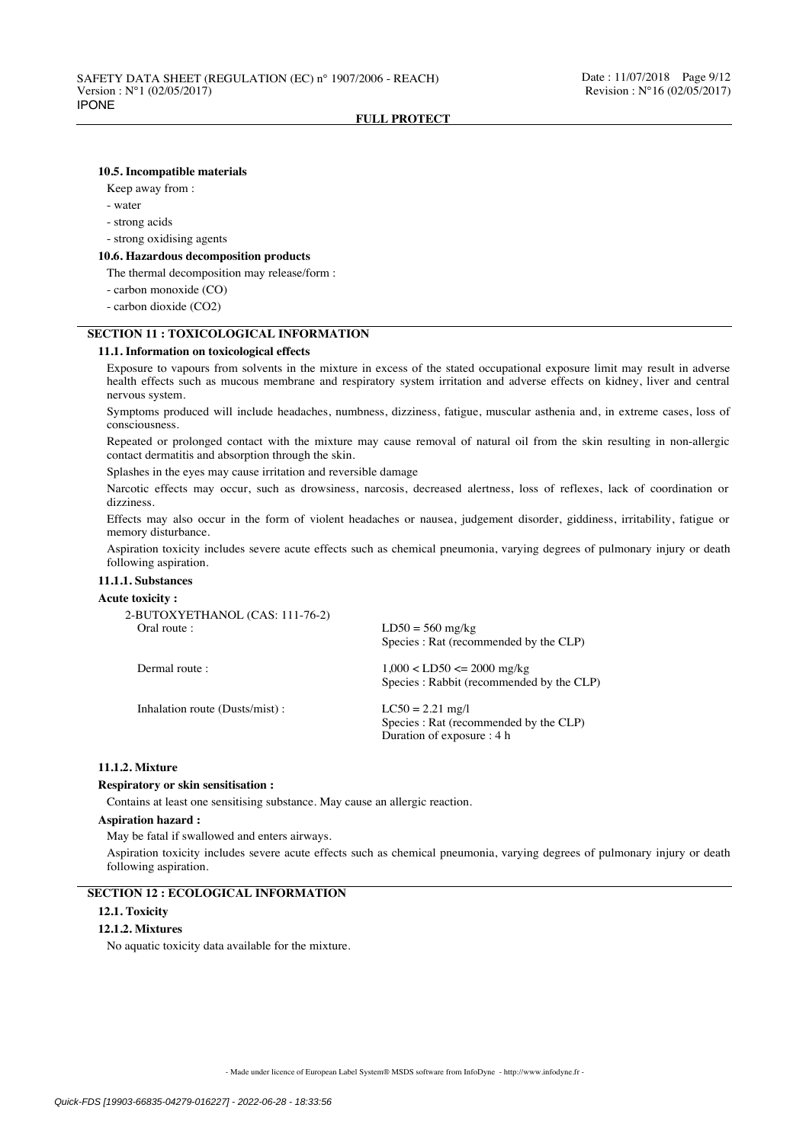### **10.5. Incompatible materials**

Keep away from :

- water
- strong acids
- strong oxidising agents

#### **10.6. Hazardous decomposition products**

The thermal decomposition may release/form :

- carbon monoxide (CO)
- carbon dioxide (CO2)

# **SECTION 11 : TOXICOLOGICAL INFORMATION**

### **11.1. Information on toxicological effects**

Exposure to vapours from solvents in the mixture in excess of the stated occupational exposure limit may result in adverse health effects such as mucous membrane and respiratory system irritation and adverse effects on kidney, liver and central nervous system.

Symptoms produced will include headaches, numbness, dizziness, fatigue, muscular asthenia and, in extreme cases, loss of consciousness.

Repeated or prolonged contact with the mixture may cause removal of natural oil from the skin resulting in non-allergic contact dermatitis and absorption through the skin.

Splashes in the eyes may cause irritation and reversible damage

Narcotic effects may occur, such as drowsiness, narcosis, decreased alertness, loss of reflexes, lack of coordination or dizziness.

Effects may also occur in the form of violent headaches or nausea, judgement disorder, giddiness, irritability, fatigue or memory disturbance.

Aspiration toxicity includes severe acute effects such as chemical pneumonia, varying degrees of pulmonary injury or death following aspiration.

## **11.1.1. Substances**

#### **Acute toxicity :**

| 2-BUTOXYETHANOL (CAS: 111-76-2) |                                                                                            |
|---------------------------------|--------------------------------------------------------------------------------------------|
| Oral route :                    | $LD50 = 560$ mg/kg<br>Species : Rat (recommended by the CLP)                               |
| Dermal route :                  | $1,000 < LDS0 \le 2000$ mg/kg<br>Species : Rabbit (recommended by the CLP)                 |
| Inhalation route (Dusts/mist):  | $LC50 = 2.21$ mg/l<br>Species : Rat (recommended by the CLP)<br>Duration of exposure : 4 h |

### **11.1.2. Mixture**

#### **Respiratory or skin sensitisation :**

Contains at least one sensitising substance. May cause an allergic reaction.

#### **Aspiration hazard :**

May be fatal if swallowed and enters airways.

Aspiration toxicity includes severe acute effects such as chemical pneumonia, varying degrees of pulmonary injury or death following aspiration.

## **SECTION 12 : ECOLOGICAL INFORMATION**

#### **12.1. Toxicity**

### **12.1.2. Mixtures**

No aquatic toxicity data available for the mixture.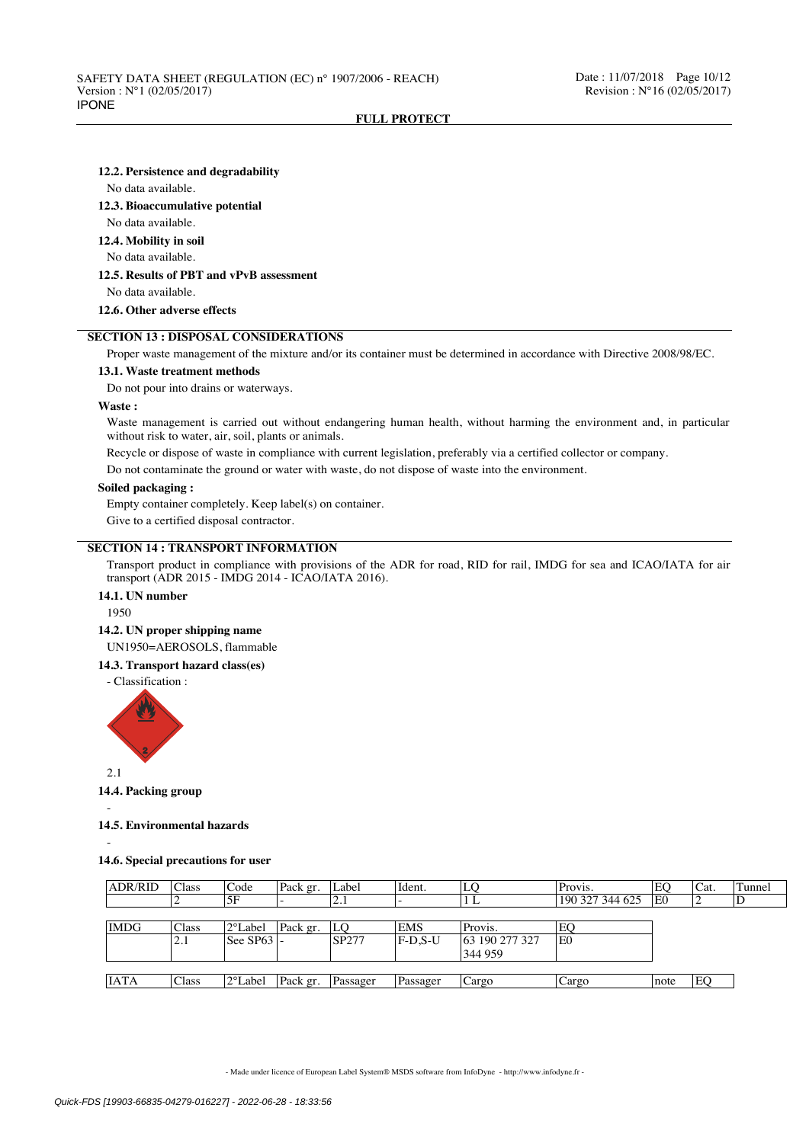#### **12.2. Persistence and degradability**

No data available.

### **12.3. Bioaccumulative potential**

No data available.

**12.4. Mobility in soil**

### No data available.

## **12.5. Results of PBT and vPvB assessment**

No data available.

### **12.6. Other adverse effects**

# **SECTION 13 : DISPOSAL CONSIDERATIONS**

Proper waste management of the mixture and/or its container must be determined in accordance with Directive 2008/98/EC.

#### **13.1. Waste treatment methods**

Do not pour into drains or waterways.

#### **Waste :**

Waste management is carried out without endangering human health, without harming the environment and, in particular without risk to water, air, soil, plants or animals.

Recycle or dispose of waste in compliance with current legislation, preferably via a certified collector or company.

Do not contaminate the ground or water with waste, do not dispose of waste into the environment.

#### **Soiled packaging :**

Empty container completely. Keep label(s) on container.

Give to a certified disposal contractor.

## **SECTION 14 : TRANSPORT INFORMATION**

Transport product in compliance with provisions of the ADR for road, RID for rail, IMDG for sea and ICAO/IATA for air transport (ADR 2015 - IMDG 2014 - ICAO/IATA 2016).

## **14.1. UN number**

1950

### **14.2. UN proper shipping name**

UN1950=AEROSOLS, flammable

#### **14.3. Transport hazard class(es)**

- Classification :



 $2.1$ 

## **14.4. Packing group**

#### **14.5. Environmental hazards**

-

-

#### **14.6. Special precautions for user**

| <b>ADR/RID</b> | <b>Class</b> | Code                             | Pack gr. | Label        | Ident.     | LO             | Provis.         | EO             | Cat. | Tunnel |
|----------------|--------------|----------------------------------|----------|--------------|------------|----------------|-----------------|----------------|------|--------|
|                |              | 5F                               |          | $\angle$ .1  |            | 1 L            | 190 327 344 625 | E <sub>0</sub> |      | ΙD     |
|                |              |                                  |          |              |            |                |                 |                |      |        |
| <b>IMDG</b>    | Class        | 12°Label                         | Pack gr. | ILO          | <b>EMS</b> | Provis.        | EO              |                |      |        |
|                | 2.1          | $\text{I}$ See SP63 $\text{I}$ - |          | <b>SP277</b> | F-D.S-U    | 63 190 277 327 | lE0             |                |      |        |
|                |              |                                  |          |              |            | 344 959        |                 |                |      |        |
|                |              |                                  |          |              |            |                |                 |                |      |        |
| <b>IATA</b>    | Class        | 2°Label                          | Pack gr. | Passager     | Passager   | Cargo          | Cargo           | note           | EO   |        |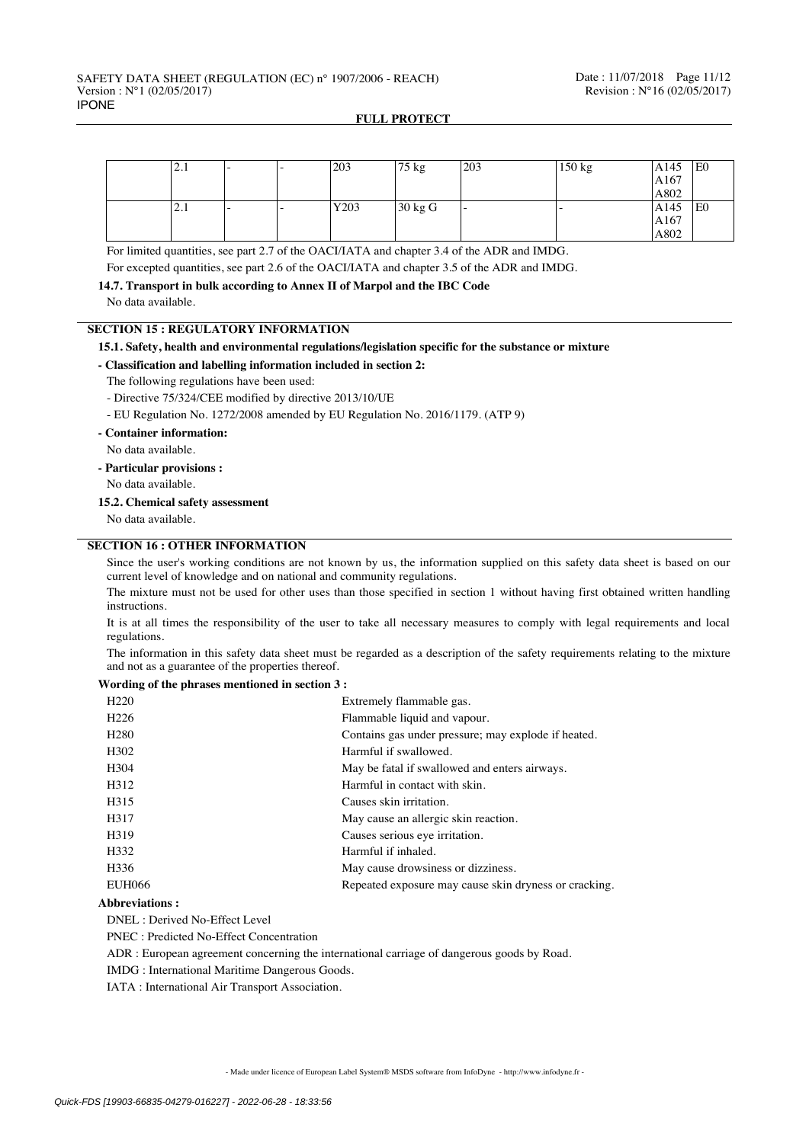| ا د ک∣ |  | 203  | $175 \text{ kg}$ | 203 | 150 kg | A145 | <sup>1</sup> E <sub>0</sub> |
|--------|--|------|------------------|-----|--------|------|-----------------------------|
|        |  |      |                  |     |        | A167 |                             |
|        |  |      |                  |     |        | A802 |                             |
| ا که ا |  | Y203 | 30 kg G          |     |        | A145 | lE0                         |
|        |  |      |                  |     |        | A167 |                             |
|        |  |      |                  |     |        | A802 |                             |

For limited quantities, see part 2.7 of the OACI/IATA and chapter 3.4 of the ADR and IMDG.

For excepted quantities, see part 2.6 of the OACI/IATA and chapter 3.5 of the ADR and IMDG.

**14.7. Transport in bulk according to Annex II of Marpol and the IBC Code**

No data available.

## **SECTION 15 : REGULATORY INFORMATION**

## **15.1. Safety, health and environmental regulations/legislation specific for the substance or mixture**

### **- Classification and labelling information included in section 2:**

- The following regulations have been used:
- Directive 75/324/CEE modified by directive 2013/10/UE
- EU Regulation No. 1272/2008 amended by EU Regulation No. 2016/1179. (ATP 9)
- **Container information:**
- No data available.
- **Particular provisions :**

No data available.

#### **15.2. Chemical safety assessment**

No data available.

## **SECTION 16 : OTHER INFORMATION**

Since the user's working conditions are not known by us, the information supplied on this safety data sheet is based on our current level of knowledge and on national and community regulations.

The mixture must not be used for other uses than those specified in section 1 without having first obtained written handling instructions.

It is at all times the responsibility of the user to take all necessary measures to comply with legal requirements and local regulations.

The information in this safety data sheet must be regarded as a description of the safety requirements relating to the mixture and not as a guarantee of the properties thereof.

#### **Wording of the phrases mentioned in section 3 :**

| H <sub>220</sub>  | Extremely flammable gas.                              |
|-------------------|-------------------------------------------------------|
| H <sub>226</sub>  | Flammable liquid and vapour.                          |
| H <sub>280</sub>  | Contains gas under pressure; may explode if heated.   |
| H <sub>302</sub>  | Harmful if swallowed.                                 |
| H304              | May be fatal if swallowed and enters airways.         |
| H312              | Harmful in contact with skin.                         |
| H <sub>3</sub> 15 | Causes skin irritation.                               |
| H317              | May cause an allergic skin reaction.                  |
| H319              | Causes serious eye irritation.                        |
| H332              | Harmful if inhaled.                                   |
| H <sub>336</sub>  | May cause drowsiness or dizziness.                    |
| <b>EUH066</b>     | Repeated exposure may cause skin dryness or cracking. |

#### **Abbreviations :**

DNEL : Derived No-Effect Level

PNEC : Predicted No-Effect Concentration

ADR : European agreement concerning the international carriage of dangerous goods by Road.

IMDG : International Maritime Dangerous Goods.

IATA : International Air Transport Association.